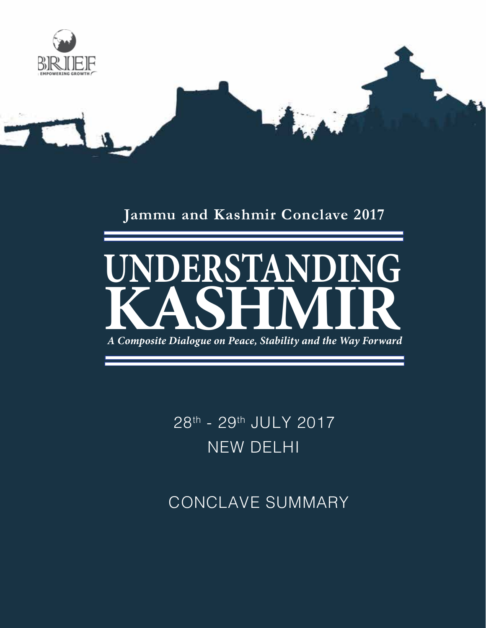

**Jammu and Kashmir Conclave 2017**



28th - 29th JULY 2017 NEW DELHI

CONCLAVE SUMMARY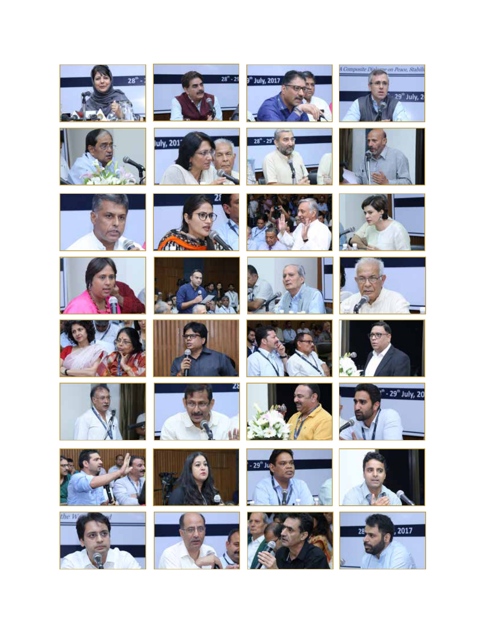























































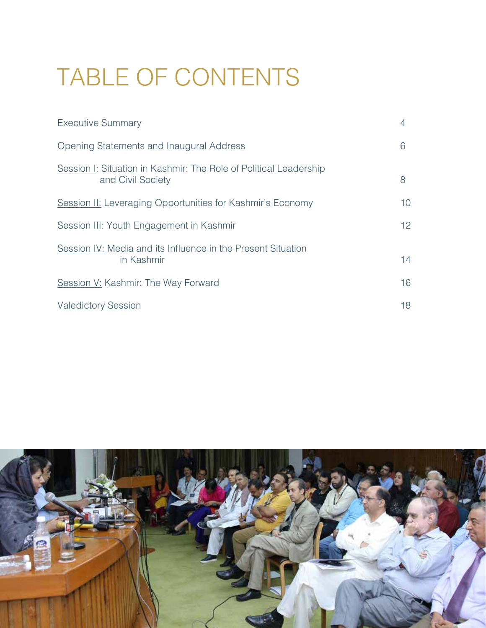# TABLE OF CONTENTS

| <b>Executive Summary</b>                                                               | 4  |
|----------------------------------------------------------------------------------------|----|
| Opening Statements and Inaugural Address                                               | 6  |
| Session I: Situation in Kashmir: The Role of Political Leadership<br>and Civil Society | 8  |
| Session II: Leveraging Opportunities for Kashmir's Economy                             | 10 |
| Session III: Youth Engagement in Kashmir                                               | 12 |
| Session IV: Media and its Influence in the Present Situation<br>in Kashmir             | 14 |
| Session V: Kashmir: The Way Forward                                                    | 16 |
| <b>Valedictory Session</b>                                                             | 18 |
|                                                                                        |    |

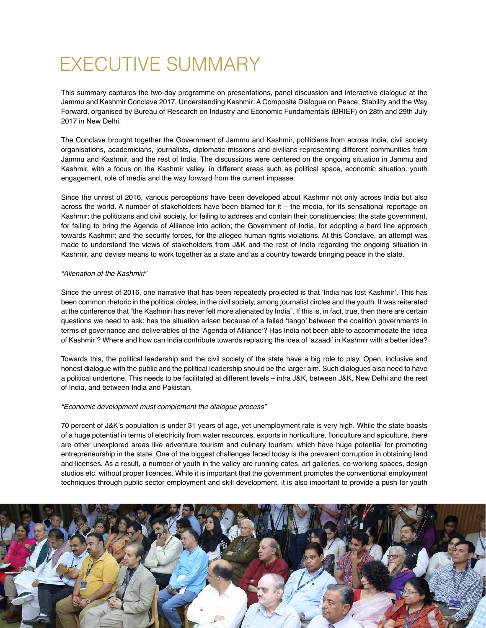### EXECUTIVE SUMMARY

This summary captures the two-day programme on presentations, panel discussion and interactive dialogue at the Jammu and Kashmir Conclave 2017, Understanding Kashmir: A Composite Dialogue on Peace, Stability and the Way Forward, organised by Bureau of Research on Industry and Economic Fundamentals (BRIEF) on 28th and 29th July 2017 in New Delhi.

The Conclave brought together the Government of Jammu and Kashmir, politicians from across India, civil society organisations, academicians, journalists, diplomatic missions and civilians representing different communities from Jammu and Kashmir, and the rest of India. The discussions were centered on the ongoing situation in Jammu and Kashmir, with a focus on the Kashmir valley, in different areas such as political space, economic situation, youth engagement, role of media and the way forward from the current impasse.

Since the unrest of 2016, various perceptions have been developed about Kashmir not only across India but also across the world. A number of stakeholders have been blamed for it – the media, for its sensational reportage on Kashmir; the politicians and civil society, for failing to address and contain their constituencies; the state government, for failing to bring the Agenda of Alliance into action; the Government of India, for adopting a hard line approach towards Kashmir; and the security forces, for the alleged human rights violations. At this Conclave, an attempt was made to understand the views of stakeholders from J&K and the rest of India regarding the ongoing situation in Kashmir, and devise means to work together as a state and as a country towards bringing peace in the state.

#### *"Alienation of the Kashmiri"*

Since the unrest of 2016, one narrative that has been repeatedly projected is that 'India has lost Kashmir'. This has been common rhetoric in the political circles, in the civil society, among journalist circles and the youth. It was reiterated at the conference that "the Kashmiri has never felt more alienated by India". If this is, in fact, true, then there are certain questions we need to ask: has the situation arisen because of a failed 'tango' between the coalition governments in terms of governance and deliverables of the 'Agenda of Alliance'? Has India not been able to accommodate the 'idea of Kashmir'? Where and how can India contribute towards replacing the idea of 'azaadi' in Kashmir with a better idea?

Towards this, the political leadership and the civil society of the state have a big role to play. Open, inclusive and honest dialogue with the public and the political leadership should be the larger aim. Such dialogues also need to have a political undertone. This needs to be facilitated at different levels – intra J&K, between J&K, New Delhi and the rest of India, and between India and Pakistan.

#### *"Economic development must complement the dialogue process"*

70 percent of J&K's population is under 31 years of age, yet unemployment rate is very high. While the state boasts of a huge potential in terms of electricity from water resources, exports in horticulture, floriculture and apiculture, there are other unexplored areas like adventure tourism and culinary tourism, which have huge potential for promoting entrepreneurship in the state. One of the biggest challenges faced today is the prevalent corruption in obtaining land and licenses. As a result, a number of youth in the valley are running cafes, art galleries, co-working spaces, design studios etc. without proper licences. While it is important that the government promotes the conventional employment techniques through public sector employment and skill development, it is also important to provide a push for youth

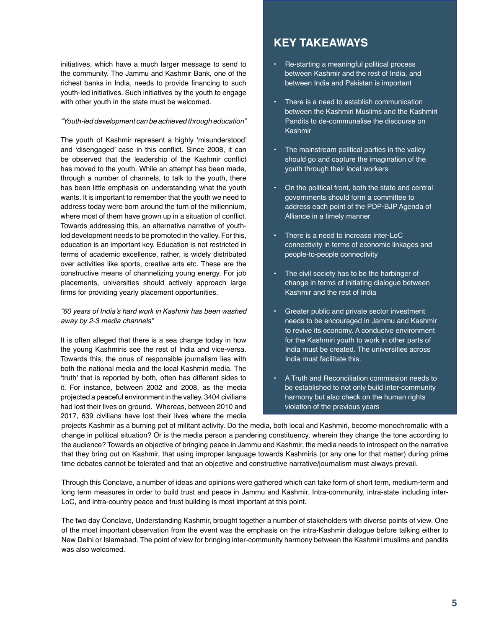initiatives, which have a much larger message to send to the community. The Jammu and Kashmir Bank, one of the richest banks in India, needs to provide financing to such youth-led initiatives. Such initiatives by the youth to engage with other youth in the state must be welcomed.

#### *"Youth-led development can be achieved through education"*

The youth of Kashmir represent a highly 'misunderstood' and 'disengaged' case in this conflict. Since 2008, it can be observed that the leadership of the Kashmir conflict has moved to the youth. While an attempt has been made, through a number of channels, to talk to the youth, there has been little emphasis on understanding what the youth wants. It is important to remember that the youth we need to address today were born around the turn of the millennium, where most of them have grown up in a situation of conflict. Towards addressing this, an alternative narrative of youthled development needs to be promoted in the valley. For this, education is an important key. Education is not restricted in terms of academic excellence, rather, is widely distributed over activities like sports, creative arts etc. These are the constructive means of channelizing young energy. For job placements, universities should actively approach large firms for providing yearly placement opportunities.

#### *"60 years of India's hard work in Kashmir has been washed away by 2-3 media channels"*

It is often alleged that there is a sea change today in how the young Kashmiris see the rest of India and vice-versa. Towards this, the onus of responsible journalism lies with both the national media and the local Kashmiri media. The 'truth' that is reported by both, often has different sides to it. For instance, between 2002 and 2008, as the media projected a peaceful environment in the valley, 3404 civilians had lost their lives on ground. Whereas, between 2010 and 2017, 639 civilians have lost their lives where the media

#### **KEY TAKEAWAYS**

- Re-starting a meaningful political process between Kashmir and the rest of India, and between India and Pakistan is important
- There is a need to establish communication between the Kashmiri Muslims and the Kashmiri Pandits to de-communalise the discourse on Kashmir
- The mainstream political parties in the valley should go and capture the imagination of the youth through their local workers
- On the political front, both the state and central governments should form a committee to address each point of the PDP-BJP Agenda of Alliance in a timely manner
- There is a need to increase inter-LoC connectivity in terms of economic linkages and people-to-people connectivity
- The civil society has to be the harbinger of change in terms of initiating dialogue between Kashmir and the rest of India
- Greater public and private sector investment needs to be encouraged in Jammu and Kashmir to revive its economy. A conducive environment for the Kashmiri youth to work in other parts of India must be created. The universities across India must facilitate this.
- A Truth and Reconciliation commission needs to be established to not only build inter-community harmony but also check on the human rights violation of the previous years

projects Kashmir as a burning pot of militant activity. Do the media, both local and Kashmiri, become monochromatic with a change in political situation? Or is the media person a pandering constituency, wherein they change the tone according to the audience? Towards an objective of bringing peace in Jammu and Kashmir, the media needs to introspect on the narrative that they bring out on Kashmir, that using improper language towards Kashmiris (or any one for that matter) during prime time debates cannot be tolerated and that an objective and constructive narrative/journalism must always prevail.

Through this Conclave, a number of ideas and opinions were gathered which can take form of short term, medium-term and long term measures in order to build trust and peace in Jammu and Kashmir. Intra-community, intra-state including inter-LoC, and intra-country peace and trust building is most important at this point.

The two day Conclave, Understanding Kashmir, brought together a number of stakeholders with diverse points of view. One of the most important observation from the event was the emphasis on the intra-Kashmir dialogue before talking either to New Delhi or Islamabad. The point of view for bringing inter-community harmony between the Kashmiri muslims and pandits was also welcomed.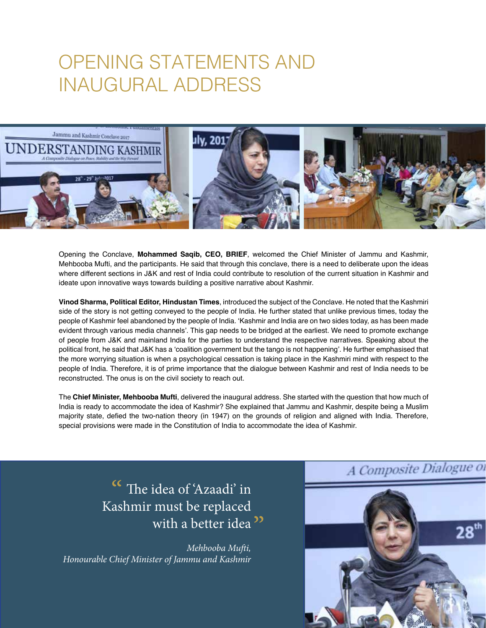#### OPENING STATEMENTS AND INAUGURAL ADDRESS



Opening the Conclave, **Mohammed Saqib, CEO, BRIEF**, welcomed the Chief Minister of Jammu and Kashmir, Mehbooba Mufti, and the participants. He said that through this conclave, there is a need to deliberate upon the ideas where different sections in J&K and rest of India could contribute to resolution of the current situation in Kashmir and ideate upon innovative ways towards building a positive narrative about Kashmir.

**Vinod Sharma, Political Editor, Hindustan Times**, introduced the subject of the Conclave. He noted that the Kashmiri side of the story is not getting conveyed to the people of India. He further stated that unlike previous times, today the people of Kashmir feel abandoned by the people of India. 'Kashmir and India are on two sides today, as has been made evident through various media channels'. This gap needs to be bridged at the earliest. We need to promote exchange of people from J&K and mainland India for the parties to understand the respective narratives. Speaking about the political front, he said that J&K has a 'coalition government but the tango is not happening'. He further emphasised that the more worrying situation is when a psychological cessation is taking place in the Kashmiri mind with respect to the people of India. Therefore, it is of prime importance that the dialogue between Kashmir and rest of India needs to be reconstructed. The onus is on the civil society to reach out.

The **Chief Minister, Mehbooba Mufti**, delivered the inaugural address. She started with the question that how much of India is ready to accommodate the idea of Kashmir? She explained that Jammu and Kashmir, despite being a Muslim majority state, defied the two-nation theory (in 1947) on the grounds of religion and aligned with India. Therefore, special provisions were made in the Constitution of India to accommodate the idea of Kashmir.

> <sup>"</sup>The idea of 'Azaadi' in<br>ashmir must be replaced Kashmir must be replaced with a better idea<sup>99</sup>

 *Mehbooba Mufti, Honourable Chief Minister of Jammu and Kashmir*

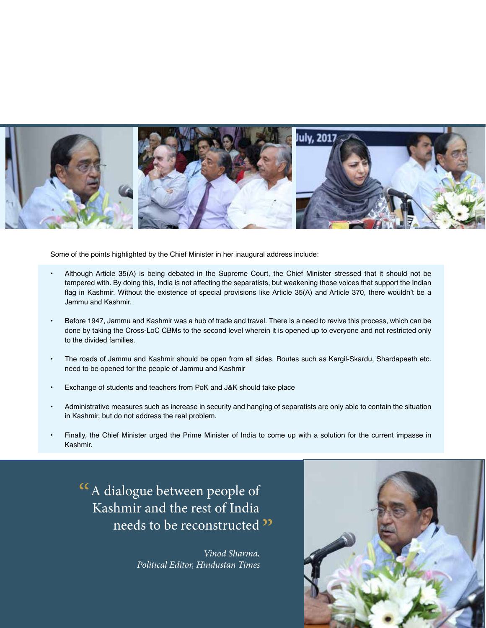

Some of the points highlighted by the Chief Minister in her inaugural address include:

- Although Article 35(A) is being debated in the Supreme Court, the Chief Minister stressed that it should not be tampered with. By doing this, India is not affecting the separatists, but weakening those voices that support the Indian flag in Kashmir. Without the existence of special provisions like Article 35(A) and Article 370, there wouldn't be a Jammu and Kashmir.
- Before 1947, Jammu and Kashmir was a hub of trade and travel. There is a need to revive this process, which can be done by taking the Cross-LoC CBMs to the second level wherein it is opened up to everyone and not restricted only to the divided families.
- The roads of Jammu and Kashmir should be open from all sides. Routes such as Kargil-Skardu, Shardapeeth etc. need to be opened for the people of Jammu and Kashmir
- Exchange of students and teachers from PoK and J&K should take place
- Administrative measures such as increase in security and hanging of separatists are only able to contain the situation in Kashmir, but do not address the real problem.
- Finally, the Chief Minister urged the Prime Minister of India to come up with a solution for the current impasse in Kashmir.

<sup>"</sup> A dialogue between people of<br>Kashmir and the rest of India Kashmir and the rest of India needs to be reconstructed <sup>33</sup>

> *Vinod Sharma, Political Editor, Hindustan Times*

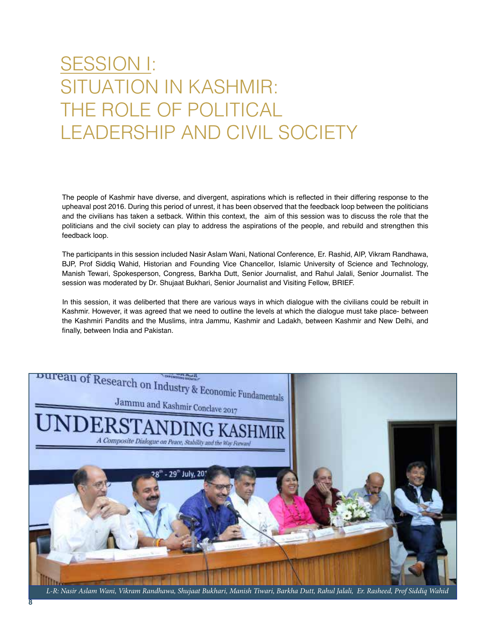#### SESSION I: SITUATION IN KASHMIR: THE ROLE OF POLITICAL LEADERSHIP AND CIVIL SOCIETY

 The people of Kashmir have diverse, and divergent, aspirations which is reflected in their differing response to the upheaval post 2016. During this period of unrest, it has been observed that the feedback loop between the politicians and the civilians has taken a setback. Within this context, the aim of this session was to discuss the role that the politicians and the civil society can play to address the aspirations of the people, and rebuild and strengthen this feedback loop.

The participants in this session included Nasir Aslam Wani, National Conference, Er. Rashid, AIP, Vikram Randhawa, BJP, Prof Siddiq Wahid, Historian and Founding Vice Chancellor, Islamic University of Science and Technology, Manish Tewari, Spokesperson, Congress, Barkha Dutt, Senior Journalist, and Rahul Jalali, Senior Journalist. The session was moderated by Dr. Shujaat Bukhari, Senior Journalist and Visiting Fellow, BRIEF.

 In this session, it was deliberted that there are various ways in which dialogue with the civilians could be rebuilt in Kashmir. However, it was agreed that we need to outline the levels at which the dialogue must take place- between the Kashmiri Pandits and the Muslims, intra Jammu, Kashmir and Ladakh, between Kashmir and New Delhi, and finally, between India and Pakistan.



*L-R: Nasir Aslam Wani, Vikram Randhawa, Shujaat Bukhari, Manish Tiwari, Barkha Dutt, Rahul Jalali, Er. Rasheed, Prof Siddiq Wahid*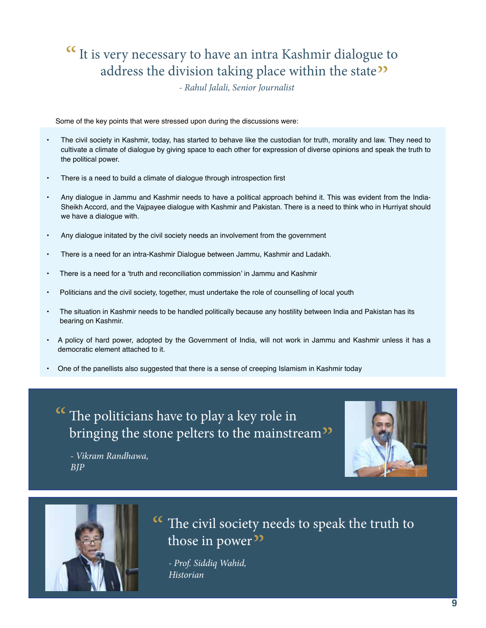## $\frac{1}{2}$  It is very necessary to have an intra Kashmir dialogue to address the division taking place within the state<sup>22</sup> address the division taking place within the state<sup>"</sup><br><sup>- Rahul Jalali, Senior Journalist</sup>

*- Rahul Jalali, Senior Journalist*

Some of the key points that were stressed upon during the discussions were:

- The civil society in Kashmir, today, has started to behave like the custodian for truth, morality and law. They need to cultivate a climate of dialogue by giving space to each other for expression of diverse opinions and speak the truth to the political power.
- There is a need to build a climate of dialogue through introspection first
- Any dialogue in Jammu and Kashmir needs to have a political approach behind it. This was evident from the India-Sheikh Accord, and the Vajpayee dialogue with Kashmir and Pakistan. There is a need to think who in Hurriyat should we have a dialogue with.
- Any dialogue initated by the civil society needs an involvement from the government
- There is a need for an intra-Kashmir Dialogue between Jammu, Kashmir and Ladakh.
- There is a need for a 'truth and reconciliation commission' in Jammu and Kashmir
- Politicians and the civil society, together, must undertake the role of counselling of local youth
- The situation in Kashmir needs to be handled politically because any hostility between India and Pakistan has its bearing on Kashmir.
- A policy of hard power, adopted by the Government of India, will not work in Jammu and Kashmir unless it has a democratic element attached to it.
- One of the panellists also suggested that there is a sense of creeping Islamism in Kashmir today

## <sup>"</sup>The politicians have to play a key role in<br>bringing the stone pelters to the mainstre bringing the stone pelters to the mainstream?<br>Wikiwii Bardhaus

*- Vikram Randhawa, BJP*





 $\frac{1}{2}$  The civil society needs to speak the truth to those in nower<sup>33</sup> those in power?<br> $\frac{1}{2}$ 

*- Prof. Siddiq Wahid, Historian*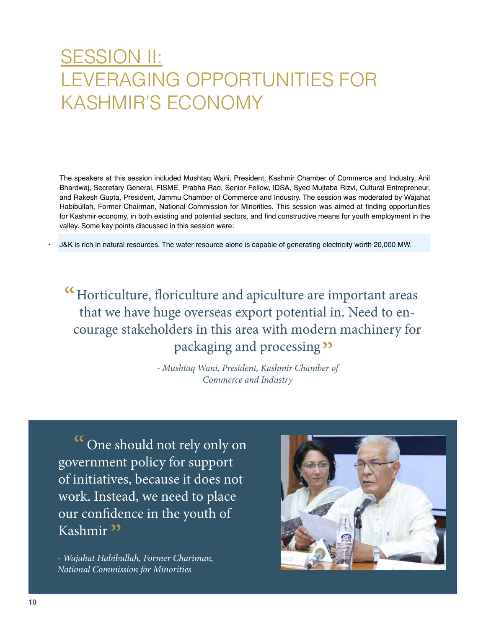#### SESSION II: LEVERAGING OPPORTUNITIES FOR KASHMIR'S ECONOMY

The speakers at this session included Mushtaq Wani, President, Kashmir Chamber of Commerce and Industry, Anil Bhardwaj, Secretary General, FISME, Prabha Rao, Senior Fellow, IDSA, Syed Mujtaba Rizvi, Cultural Entrepreneur, and Rakesh Gupta, President, Jammu Chamber of Commerce and Industry. The session was moderated by Wajahat Habibullah, Former Chairman, National Commission for Minorities. This session was aimed at finding opportunities for Kashmir economy, in both existing and potential sectors, and find constructive means for youth employment in the valley. Some key points discussed in this session were:

• J&K is rich in natural resources. The water resource alone is capable of generating electricity worth 20,000 MW.

<sup>"</sup>Horticulture, floriculture and apiculture are important areas that we have huge overseas export potential in Need to enthat we have huge overseas export potential in. Need to encourage stakeholders in this area with modern machinery for packaging and processing ??<br>shtaa Wani-President Kashmir Chamber o

*- Mushtaq Wani, President, Kashmir Chamber of Commerce and Industry*

<sup>"</sup> One should not rely only on government policy for support of initiatives, because it does not work. Instead, we need to place our confidence in the youth of Kashmir <mark>"</mark>



*<sup>-</sup> Wajahat Habibullah, Former Chariman, National Commission for Minorities*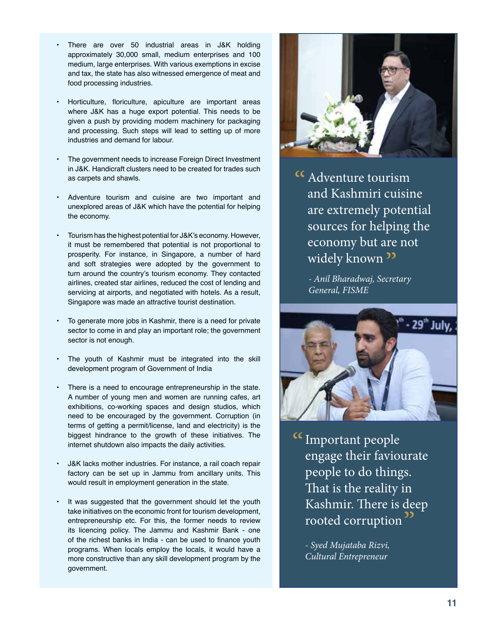- There are over 50 industrial areas in J&K holding approximately 30,000 small, medium enterprises and 100 medium, large enterprises. With various exemptions in excise and tax, the state has also witnessed emergence of meat and food processing industries.
- Horticulture, floriculture, apiculture are important areas where J&K has a huge export potential. This needs to be given a push by providing modern machinery for packaging and processing. Such steps will lead to setting up of more industries and demand for labour.
- The government needs to increase Foreign Direct Investment in J&K. Handicraft clusters need to be created for trades such as carpets and shawls.
- Adventure tourism and cuisine are two important and unexplored areas of J&K which have the potential for helping the economy.
- Tourism has the highest potential for J&K's economy. However, it must be remembered that potential is not proportional to prosperity. For instance, in Singapore, a number of hard and soft strategies were adopted by the government to turn around the country's tourism economy. They contacted airlines, created star airlines, reduced the cost of lending and servicing at airports, and negotiated with hotels. As a result, Singapore was made an attractive tourist destination.
- To generate more jobs in Kashmir, there is a need for private sector to come in and play an important role; the government sector is not enough.
- The youth of Kashmir must be integrated into the skill development program of Government of India
- There is a need to encourage entrepreneurship in the state. A number of young men and women are running cafes, art exhibitions, co-working spaces and design studios, which need to be encouraged by the government. Corruption (in terms of getting a permit/license, land and electricity) is the biggest hindrance to the growth of these initiatives. The internet shutdown also impacts the daily activities.
- J&K lacks mother industries. For instance, a rail coach repair factory can be set up in Jammu from ancillary units. This would result in employment generation in the state.
- It was suggested that the government should let the youth take initiatives on the economic front for tourism development, entrepreneurship etc. For this, the former needs to review its licencing policy. The Jammu and Kashmir Bank - one of the richest banks in India - can be used to finance youth programs. When locals employ the locals, it would have a more constructive than any skill development program by the government.



<sup>"</sup> Adventure tourism<br>and Kashmiri cuisin and Kashmiri cuisine are extremely potential sources for helping the economy but are not widely known <sup>99</sup><br>- <sup>Anil Bharadwai Secre</sup>

*- Anil Bharadwaj, Secretary General, FISME*



<sup>"</sup> Important people<br>engage their faviou engage their faviourate people to do things. That is the reality in Kashmir. There is deep rooted corruption<sup>22</sup>

*- Syed Mujataba Rizvi, Cultural Entrepreneur*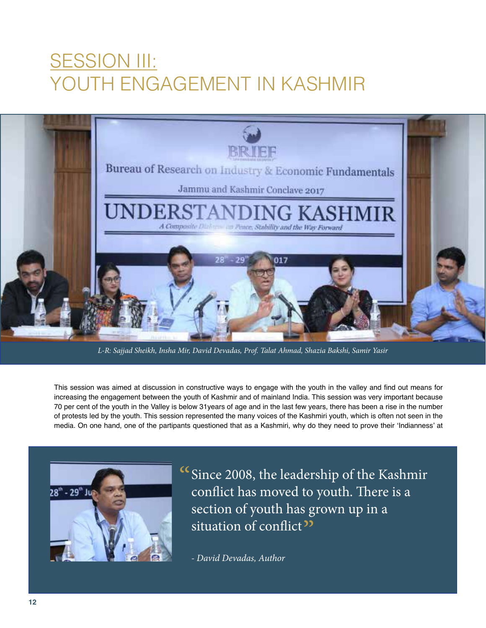### SESSION III: YOUTH ENGAGEMENT IN KASHMIR



*L-R: Sajjad Sheikh, Insha Mir, David Devadas, Prof. Talat Ahmad, Shazia Bakshi, Samir Yasir*

This session was aimed at discussion in constructive ways to engage with the youth in the valley and find out means for increasing the engagement between the youth of Kashmir and of mainland India. This session was very important because 70 per cent of the youth in the Valley is below 31years of age and in the last few years, there has been a rise in the number of protests led by the youth. This session represented the many voices of the Kashmiri youth, which is often not seen in the media. On one hand, one of the partipants questioned that as a Kashmiri, why do they need to prove their 'Indianness' at



 $\frac{1}{2}$ Since 2008, the leadership of the Kashmir<br>conflict has moved to youth There is a conflict has moved to youth. There is a section of youth has grown up in a situation of conflict 22

*- David Devadas, Author*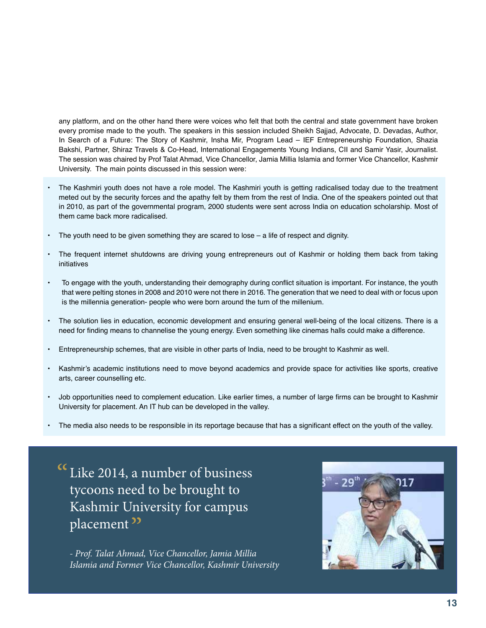any platform, and on the other hand there were voices who felt that both the central and state government have broken every promise made to the youth. The speakers in this session included Sheikh Sajjad, Advocate, D. Devadas, Author, In Search of a Future: The Story of Kashmir, Insha Mir, Program Lead – IEF Entrepreneurship Foundation, Shazia Bakshi, Partner, Shiraz Travels & Co-Head, International Engagements Young Indians, CII and Samir Yasir, Journalist. The session was chaired by Prof Talat Ahmad, Vice Chancellor, Jamia Millia Islamia and former Vice Chancellor, Kashmir University. The main points discussed in this session were:

- The Kashmiri youth does not have a role model. The Kashmiri youth is getting radicalised today due to the treatment meted out by the security forces and the apathy felt by them from the rest of India. One of the speakers pointed out that in 2010, as part of the governmental program, 2000 students were sent across India on education scholarship. Most of them came back more radicalised.
- The youth need to be given something they are scared to lose a life of respect and dignity.
- The frequent internet shutdowns are driving young entrepreneurs out of Kashmir or holding them back from taking initiatives
- To engage with the youth, understanding their demography during conflict situation is important. For instance, the youth that were pelting stones in 2008 and 2010 were not there in 2016. The generation that we need to deal with or focus upon is the millennia generation- people who were born around the turn of the millenium.
- The solution lies in education, economic development and ensuring general well-being of the local citizens. There is a need for finding means to channelise the young energy. Even something like cinemas halls could make a difference.
- Entrepreneurship schemes, that are visible in other parts of India, need to be brought to Kashmir as well.
- Kashmir's academic institutions need to move beyond academics and provide space for activities like sports, creative arts, career counselling etc.
- Job opportunities need to complement education. Like earlier times, a number of large firms can be brought to Kashmir University for placement. An IT hub can be developed in the valley.
- The media also needs to be responsible in its reportage because that has a significant effect on the youth of the valley.

Like 2014, a number of business tycoons need to be brought to Kashmir University for campus placement <sup>>></sup>  $\alpha$ 

*- Prof. Talat Ahmad, Vice Chancellor, Jamia Millia Islamia and Former Vice Chancellor, Kashmir University*

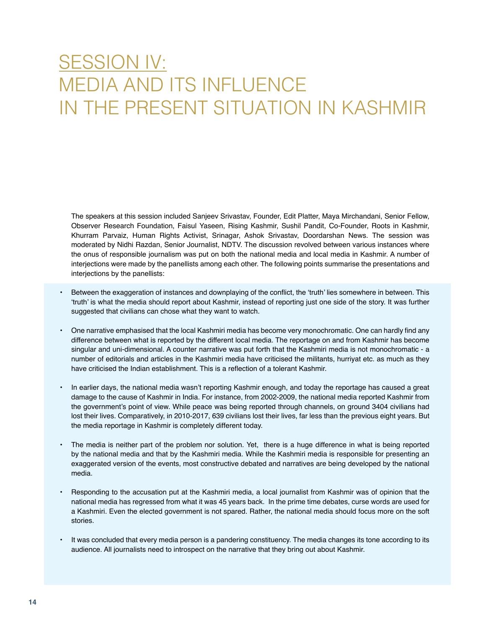### **SESSION IV:** MEDIA AND ITS INFLUENCE IN THE PRESENT SITUATION IN KASHMIR

The speakers at this session included Sanjeev Srivastav, Founder, Edit Platter, Maya Mirchandani, Senior Fellow, Observer Research Foundation, Faisul Yaseen, Rising Kashmir, Sushil Pandit, Co-Founder, Roots in Kashmir, Khurram Parvaiz, Human Rights Activist, Srinagar, Ashok Srivastav, Doordarshan News. The session was moderated by Nidhi Razdan, Senior Journalist, NDTV. The discussion revolved between various instances where the onus of responsible journalism was put on both the national media and local media in Kashmir. A number of interjections were made by the panellists among each other. The following points summarise the presentations and interjections by the panellists:

- Between the exaggeration of instances and downplaying of the conflict, the 'truth' lies somewhere in between. This 'truth' is what the media should report about Kashmir, instead of reporting just one side of the story. It was further suggested that civilians can chose what they want to watch.
- One narrative emphasised that the local Kashmiri media has become very monochromatic. One can hardly find any difference between what is reported by the different local media. The reportage on and from Kashmir has become singular and uni-dimensional. A counter narrative was put forth that the Kashmiri media is not monochromatic - a number of editorials and articles in the Kashmiri media have criticised the militants, hurriyat etc. as much as they have criticised the Indian establishment. This is a reflection of a tolerant Kashmir.
- In earlier days, the national media wasn't reporting Kashmir enough, and today the reportage has caused a great damage to the cause of Kashmir in India. For instance, from 2002-2009, the national media reported Kashmir from the government's point of view. While peace was being reported through channels, on ground 3404 civilians had lost their lives. Comparatively, in 2010-2017, 639 civilians lost their lives, far less than the previous eight years. But the media reportage in Kashmir is completely different today.
- The media is neither part of the problem nor solution. Yet, there is a huge difference in what is being reported by the national media and that by the Kashmiri media. While the Kashmiri media is responsible for presenting an exaggerated version of the events, most constructive debated and narratives are being developed by the national media.
- Responding to the accusation put at the Kashmiri media, a local journalist from Kashmir was of opinion that the national media has regressed from what it was 45 years back. In the prime time debates, curse words are used for a Kashmiri. Even the elected government is not spared. Rather, the national media should focus more on the soft stories.
- It was concluded that every media person is a pandering constituency. The media changes its tone according to its audience. All journalists need to introspect on the narrative that they bring out about Kashmir.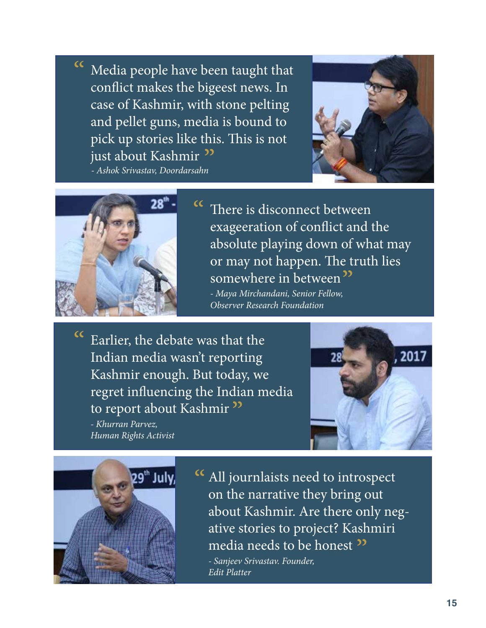Media people have been taught that conflict makes the bigeest news. In case of Kashmir, with stone pelting and pellet guns, media is bound to pick up stories like this. This is not just about Kashmir <sup>99</sup><br>- Ashok Srivastav, Doordarsahn  $\alpha$ *- Ashok Srivastav, Doordarsahn*





There is disconnect between exageeration of conflict and the absolute playing down of what may or may not happen. The truth lies somewhere in between <sup>>></sup><br>- <sub>Maya Mirchandani, Senior Fellow,</sub>

*- Maya Mirchandani, Senior Fellow, Observer Research Foundation*

Earlier, the debate was that the Indian media wasn't reporting Kashmir enough. But today, we regret influencing the Indian media to report about Kashmir <sup>>></sup><br>- <sub>Khurran Parvez,</sub>  $\alpha$ 

*- Khurran Parvez, Human Rights Activist*





<sup>"</sup> All journlaists need to introspect<br>on the narrative they bring out on the narrative they bring out about Kashmir. Are there only negative stories to project? Kashmiri media needs to be honest <sup>99</sup><br>- <sub>Sanjeev Srivastav. Founder,</sub>

*- Sanjeev Srivastav. Founder, Edit Platter*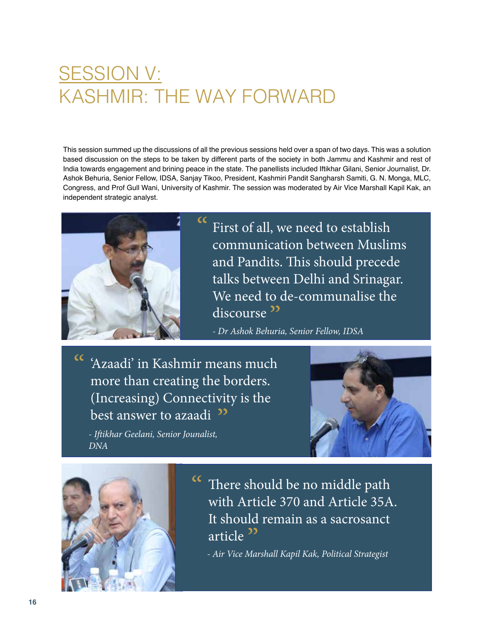### SESSION V: KASHMIR: THE WAY FORWARD

 $\alpha$ 

This session summed up the discussions of all the previous sessions held over a span of two days. This was a solution based discussion on the steps to be taken by different parts of the society in both Jammu and Kashmir and rest of India towards engagement and brining peace in the state. The panellists included Iftikhar Gilani, Senior Journalist, Dr. Ashok Behuria, Senior Fellow, IDSA, Sanjay Tikoo, President, Kashmiri Pandit Sangharsh Samiti, G. N. Monga, MLC, Congress, and Prof Gull Wani, University of Kashmir. The session was moderated by Air Vice Marshall Kapil Kak, an independent strategic analyst.



First of all, we need to establish communication between Muslims and Pandits. This should precede talks between Delhi and Srinagar. We need to de-communalise the discourse<br>- Dr Ashok Behuri

*- Dr Ashok Behuria, Senior Fellow, IDSA*

<sup>"</sup>Azaadi' in Kashmir means much<br>more than creating the borders more than creating the borders. (Increasing) Connectivity is the best answer to azaadi <sup>>></sup><br>Hikhar Geelani Senior Iounalist

*- Iftikhar Geelani, Senior Jounalist, DNA*





<sup>"</sup>There should be no middle path<br>with Article 370 and Article 35.4 with Article 370 and Article 35A. It should remain as a sacrosanct article <sup>99</sup><br>Air Vice Mai

*- Air Vice Marshall Kapil Kak, Political Strategist*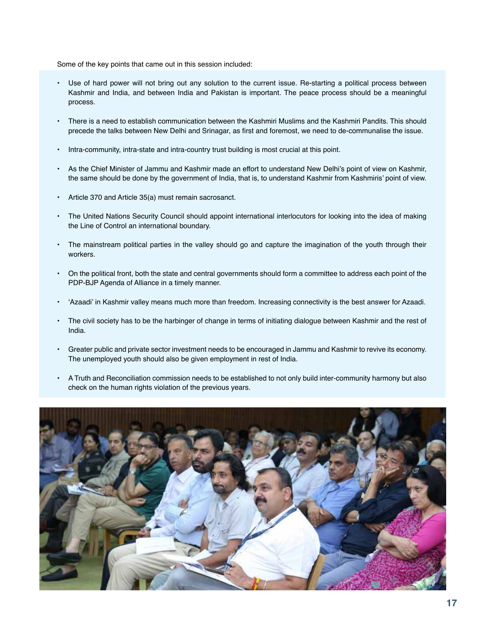Some of the key points that came out in this session included:

- Use of hard power will not bring out any solution to the current issue. Re-starting a political process between Kashmir and India, and between India and Pakistan is important. The peace process should be a meaningful process.
- There is a need to establish communication between the Kashmiri Muslims and the Kashmiri Pandits. This should precede the talks between New Delhi and Srinagar, as first and foremost, we need to de-communalise the issue.
- Intra-community, intra-state and intra-country trust building is most crucial at this point.
- As the Chief Minister of Jammu and Kashmir made an effort to understand New Delhi's point of view on Kashmir, the same should be done by the government of India, that is, to understand Kashmir from Kashmiris' point of view.
- Article 370 and Article 35(a) must remain sacrosanct.
- The United Nations Security Council should appoint international interlocutors for looking into the idea of making the Line of Control an international boundary.
- The mainstream political parties in the valley should go and capture the imagination of the youth through their workers.
- On the political front, both the state and central governments should form a committee to address each point of the PDP-BJP Agenda of Alliance in a timely manner.
- 'Azaadi' in Kashmir valley means much more than freedom. Increasing connectivity is the best answer for Azaadi.
- The civil society has to be the harbinger of change in terms of initiating dialogue between Kashmir and the rest of India.
- Greater public and private sector investment needs to be encouraged in Jammu and Kashmir to revive its economy. The unemployed youth should also be given employment in rest of India.
- A Truth and Reconciliation commission needs to be established to not only build inter-community harmony but also check on the human rights violation of the previous years.

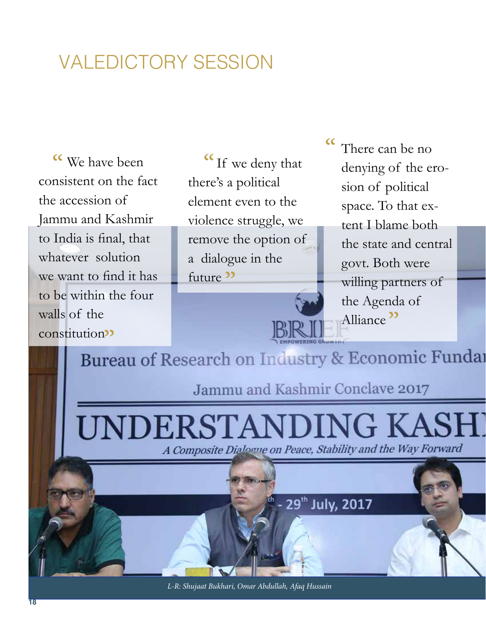#### VALEDICTORY SESSION

 $\frac{C}{\sqrt{2}}$  We have been consistent on the fact the accession of Jammu and Kashmir to India is final, that whatever solution we want to find it has to be within the four walls of the

 $\frac{C}{\ln 2}$  If we deny that there's a political element even to the violence struggle, we remove the option of a dialogue in the future 22

There can be no Alliance<sup>"</sup> denying of the erosion of political space. To that extent I blame both the state and central govt. Both were willing partners of the Agenda of

EXAMPLE<br>Bureau of Research on Industry & Economic Fundal

Jammu and Kashmir Conclave 2017





*L-R: Shujaat Bukhari, Omar Abdullah, Afaq Hussain*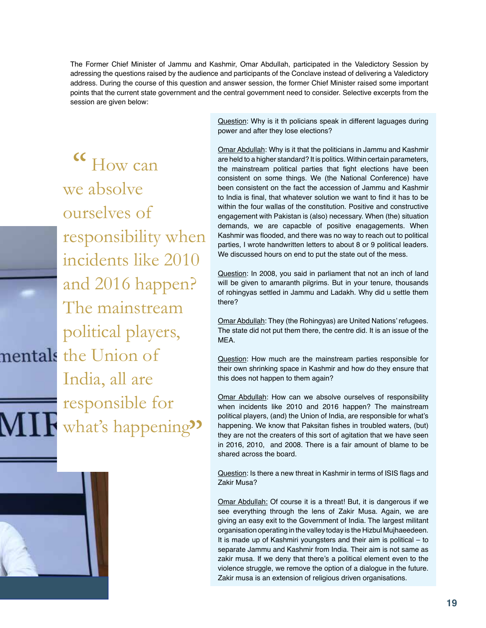The Former Chief Minister of Jammu and Kashmir, Omar Abdullah, participated in the Valedictory Session by adressing the questions raised by the audience and participants of the Conclave instead of delivering a Valedictory address. During the course of this question and answer session, the former Chief Minister raised some important points that the current state government and the central government need to consider. Selective excerpts from the session are given below:

> Question: Why is it th policians speak in different laguages during power and after they lose elections?

> Omar Abdullah: Why is it that the politicians in Jammu and Kashmir are held to a higher standard? It is politics. Within certain parameters, the mainstream political parties that fight elections have been consistent on some things. We (the National Conference) have been consistent on the fact the accession of Jammu and Kashmir to India is final, that whatever solution we want to find it has to be within the four wallas of the constitution. Positive and constructive engagement with Pakistan is (also) necessary. When (the) situation demands, we are capacble of positive enagagements. When Kashmir was flooded, and there was no way to reach out to political parties, I wrote handwritten letters to about 8 or 9 political leaders. We discussed hours on end to put the state out of the mess.

> Question: In 2008, you said in parliament that not an inch of land will be given to amaranth pilgrims. But in your tenure, thousands of rohingyas settled in Jammu and Ladakh. Why did u settle them there?

> Omar Abdullah: They (the Rohingyas) are United Nations' refugees. The state did not put them there, the centre did. It is an issue of the MEA.

> Question: How much are the mainstream parties responsible for their own shrinking space in Kashmir and how do they ensure that this does not happen to them again?

> Omar Abdullah: How can we absolve ourselves of responsibility when incidents like 2010 and 2016 happen? The mainstream political players, (and) the Union of India, are responsible for what's happening. We know that Paksitan fishes in troubled waters, (but) they are not the creaters of this sort of agitation that we have seen in 2016, 2010, and 2008. There is a fair amount of blame to be shared across the board.

> Question: Is there a new threat in Kashmir in terms of ISIS flags and Zakir Musa?

> Omar Abdullah: Of course it is a threat! But, it is dangerous if we see everything through the lens of Zakir Musa. Again, we are giving an easy exit to the Government of India. The largest militant organisation operating in the valley today is the Hizbul Mujhaeedeen. It is made up of Kashmiri youngsters and their aim is political – to separate Jammu and Kashmir from India. Their aim is not same as zakir musa. If we deny that there's a political element even to the violence struggle, we remove the option of a dialogue in the future. Zakir musa is an extension of religious driven organisations.

 $\frac{d}{dx}$  How can we absolve ourselves of responsibility when incidents like 2010 and 2016 happen? The mainstream political players, mentals the Union of India, all are responsible for what's happening"